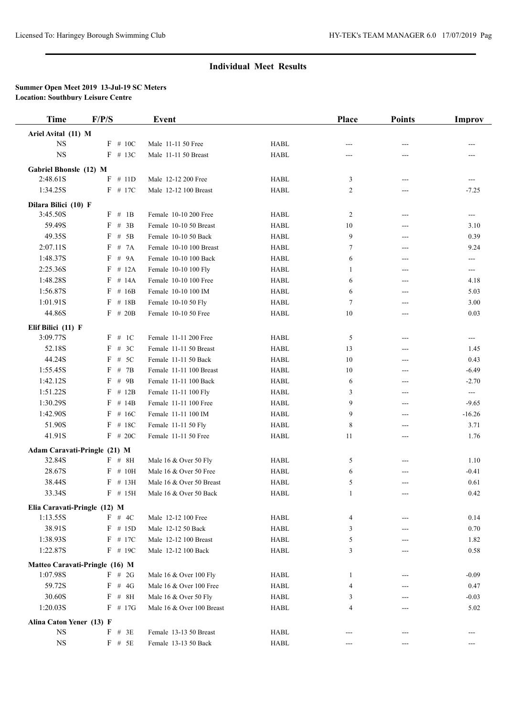| <b>Time</b>                  | F/P/S                          | Event                     |             | <b>Place</b> | <b>Points</b> | <b>Improv</b>            |
|------------------------------|--------------------------------|---------------------------|-------------|--------------|---------------|--------------------------|
| Ariel Avital (11) M          |                                |                           |             |              |               |                          |
| <b>NS</b>                    | $F \# 10C$                     | Male 11-11 50 Free        | <b>HABL</b> | ---          | ---           |                          |
| <b>NS</b>                    | $F$ # 13C                      | Male 11-11 50 Breast      | <b>HABL</b> | $---$        | ---           |                          |
| Gabriel Bhonsle (12) M       |                                |                           |             |              |               |                          |
| 2:48.61S                     | # 11D<br>F                     | Male 12-12 200 Free       | <b>HABL</b> | 3            | ---           |                          |
| 1:34.25S                     | $F$ # 17C                      | Male 12-12 100 Breast     | <b>HABL</b> | 2            | ---           | $-7.25$                  |
| Dilara Bilici (10) F         |                                |                           |             |              |               |                          |
| 3:45.50S                     | F # 1B                         | Female 10-10 200 Free     | <b>HABL</b> | 2            | ---           | $---$                    |
| 59.49S                       | $F$ # 3B                       | Female 10-10 50 Breast    | <b>HABL</b> | 10           | ---           | 3.10                     |
| 49.35S                       | $F$ # 5B                       | Female 10-10 50 Back      | <b>HABL</b> | 9            | $---$         | 0.39                     |
| 2:07.11S                     | F # 7A                         | Female 10-10 100 Breast   | <b>HABL</b> | 7            | ---           | 9.24                     |
| 1:48.37S                     | $F$ # 9A                       | Female 10-10 100 Back     | <b>HABL</b> | 6            | ---           | ---                      |
| 2:25.36S                     | $F$ # 12A                      | Female 10-10 100 Fly      | <b>HABL</b> | 1            | ---           | ---                      |
| 1:48.28S                     | $F$ # 14A                      | Female 10-10 100 Free     | <b>HABL</b> | 6            | $---$         | 4.18                     |
| 1:56.87S                     | $F$ # 16B                      | Female 10-10 100 IM       | <b>HABL</b> | 6            | ---           | 5.03                     |
| 1:01.91S                     | $F$ # 18B                      | Female 10-10 50 Fly       | <b>HABL</b> | 7            | $---$         | 3.00                     |
| 44.86S                       | $F$ # 20B                      | Female 10-10 50 Free      | <b>HABL</b> | 10           | ---           | 0.03                     |
| Elif Bilici (11) F           |                                |                           |             |              |               |                          |
| 3:09.77S                     | F # 1C                         | Female 11-11 200 Free     | <b>HABL</b> | 5            | ---           | $---$                    |
| 52.18S                       | F # 3C                         | Female 11-11 50 Breast    | <b>HABL</b> | 13           | ---           | 1.45                     |
| 44.24S                       | $F$ # 5C                       | Female 11-11 50 Back      | <b>HABL</b> | 10           | ---           | 0.43                     |
| 1:55.45S                     | $F$ # 7B                       | Female 11-11 100 Breast   | <b>HABL</b> | 10           | ---           | $-6.49$                  |
| 1:42.12S                     | $F$ # 9B                       | Female 11-11 100 Back     | <b>HABL</b> | 6            | ---           | $-2.70$                  |
| 1:51.22S                     | $F$ # 12B                      | Female 11-11 100 Fly      | <b>HABL</b> | 3            | ---           | $\hspace{0.05cm} \ldots$ |
| 1:30.29S                     | $F$ # 14B                      | Female 11-11 100 Free     | <b>HABL</b> | 9            | ---           | $-9.65$                  |
| 1:42.90S                     | $F$ # 16C                      | Female 11-11 100 IM       | <b>HABL</b> | 9            | ---           | $-16.26$                 |
| 51.90S                       | $F$ # 18C                      | Female 11-11 50 Fly       | <b>HABL</b> | 8            | ---           | 3.71                     |
| 41.91S                       | $F$ # 20C                      | Female 11-11 50 Free      | <b>HABL</b> | 11           | ---           | 1.76                     |
|                              | Adam Caravati-Pringle (21) M   |                           |             |              |               |                          |
| 32.84S                       | $F$ # 8H                       | Male 16 & Over 50 Fly     | <b>HABL</b> | 5            | ---           | 1.10                     |
| 28.67S                       | $F$ # 10H                      | Male 16 & Over 50 Free    | <b>HABL</b> | 6            | ---           | $-0.41$                  |
| 38.44S                       | $F$ # 13H                      | Male 16 & Over 50 Breast  | <b>HABL</b> | 5            | ---           | 0.61                     |
| 33.34S                       | $F$ # 15H                      | Male 16 & Over 50 Back    | <b>HABL</b> |              |               | 0.42                     |
| Elia Caravati-Pringle (12) M |                                |                           |             |              |               |                          |
| 1:13.55S                     | F # 4C                         | Male 12-12 100 Free       | <b>HABL</b> | 4            |               | 0.14                     |
| 38.91S                       | $F$ # 15D                      | Male 12-12 50 Back        | <b>HABL</b> | 3            |               | 0.70                     |
| 1:38.93S                     | $F$ # 17C                      | Male 12-12 100 Breast     | <b>HABL</b> | 5            |               | 1.82                     |
| 1:22.87S                     | $F$ # 19C                      | Male 12-12 100 Back       | <b>HABL</b> | 3            |               | 0.58                     |
|                              | Matteo Caravati-Pringle (16) M |                           |             |              |               |                          |
| 1:07.98S                     | $F$ # 2G                       | Male 16 & Over 100 Fly    | <b>HABL</b> | 1            |               | $-0.09$                  |
| 59.72S                       | $F$ # 4G                       | Male 16 & Over 100 Free   | <b>HABL</b> | 4            |               | 0.47                     |
| 30.60S                       | $F$ # 8H                       | Male 16 & Over 50 Fly     | <b>HABL</b> | 3            |               | $-0.03$                  |
| 1:20.03S                     | $F$ # 17G                      | Male 16 & Over 100 Breast | HABL        | 4            |               | 5.02                     |
| Alina Caton Yener (13) F     |                                |                           |             |              |               |                          |
| $_{\rm NS}$                  | $F$ # 3E                       | Female 13-13 50 Breast    | <b>HABL</b> |              |               |                          |
| $_{\rm NS}$                  | $F$ # $5E$                     | Female 13-13 50 Back      | <b>HABL</b> |              |               |                          |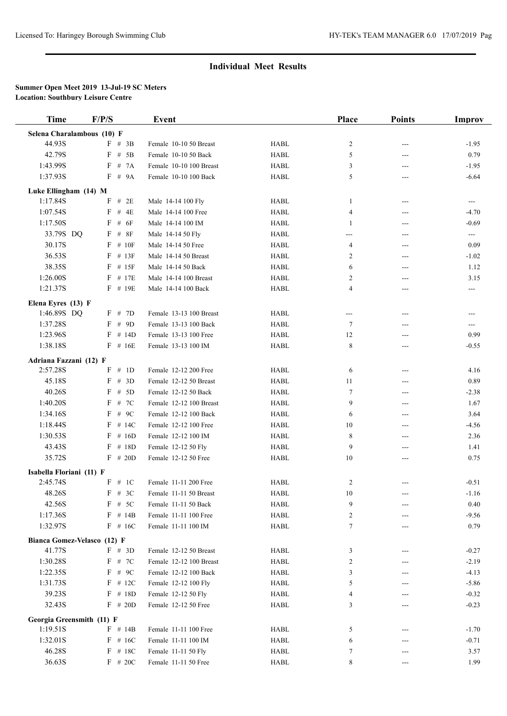| <b>Time</b>                          | F/P/S     | Event                   |             | <b>Place</b>   | <b>Points</b> | <b>Improv</b> |
|--------------------------------------|-----------|-------------------------|-------------|----------------|---------------|---------------|
| Selena Charalambous (10) F           |           |                         |             |                |               |               |
| 44.93S                               | $F \# 3B$ | Female 10-10 50 Breast  | <b>HABL</b> | $\overline{c}$ | $---$         | $-1.95$       |
| 42.79S                               | $F$ # 5B  | Female 10-10 50 Back    | <b>HABL</b> | 5              | ---           | 0.79          |
| 1:43.99S                             | F # 7A    | Female 10-10 100 Breast | <b>HABL</b> | 3              | ---           | $-1.95$       |
| 1:37.93S                             | $F$ # 9A  | Female 10-10 100 Back   | <b>HABL</b> | 5              | ---           | $-6.64$       |
| Luke Ellingham (14) M                |           |                         |             |                |               |               |
| 1:17.84S                             | $F$ # 2E  | Male 14-14 100 Fly      | <b>HABL</b> | 1              | $---$         | $\sim$ $\sim$ |
| 1:07.54S                             | $F$ # 4E  | Male 14-14 100 Free     | <b>HABL</b> | $\overline{4}$ | ---           | $-4.70$       |
| 1:17.50S                             | $F$ # 6F  | Male 14-14 100 IM       | <b>HABL</b> | 1              | ---           | $-0.69$       |
| 33.79S DQ                            | $F$ # 8F  | Male 14-14 50 Fly       | <b>HABL</b> | ---            | $---$         | $\sim$        |
| 30.17S                               | $F$ # 10F | Male 14-14 50 Free      | <b>HABL</b> | $\overline{4}$ | ---           | 0.09          |
| 36.53S                               | $F$ # 13F | Male 14-14 50 Breast    | <b>HABL</b> | 2              | ---           | $-1.02$       |
| 38.35S                               | $F$ # 15F | Male 14-14 50 Back      | <b>HABL</b> | 6              | $---$         | 1.12          |
| 1:26.00S                             | $F$ # 17E | Male 14-14 100 Breast   | <b>HABL</b> | 2              | ---           | 3.15          |
| 1:21.37S                             | $F$ # 19E | Male 14-14 100 Back     | <b>HABL</b> | $\overline{4}$ | ---           | $---$         |
| Elena Eyres (13) F                   |           |                         |             |                |               |               |
| 1:46.89S DQ                          | F # 7D    | Female 13-13 100 Breast | <b>HABL</b> | $---$          | ---           | ---           |
| 1:37.28S                             | $F$ # 9D  | Female 13-13 100 Back   | <b>HABL</b> | 7              | ---           | $---$         |
| 1:23.96S                             | $F$ # 14D | Female 13-13 100 Free   | <b>HABL</b> | 12             | ---           | 0.99          |
| 1:38.18S                             | $F$ # 16E | Female 13-13 100 IM     | <b>HABL</b> | 8              | ---           | $-0.55$       |
|                                      |           |                         |             |                |               |               |
| Adriana Fazzani (12) F<br>2:57.28S   | F # 1D    | Female 12-12 200 Free   | <b>HABL</b> | 6              | $---$         | 4.16          |
| 45.18S                               | F # 3D    | Female 12-12 50 Breast  | <b>HABL</b> | 11             | ---           | 0.89          |
| 40.26S                               | $F$ # 5D  | Female 12-12 50 Back    | <b>HABL</b> | 7              | ---           | $-2.38$       |
| 1:40.20S                             | F # 7C    | Female 12-12 100 Breast | <b>HABL</b> | 9              | ---           | 1.67          |
| 1:34.16S                             | $F$ # 9C  | Female 12-12 100 Back   | <b>HABL</b> | 6              | ---           | 3.64          |
| 1:18.44S                             | $F$ # 14C | Female 12-12 100 Free   | <b>HABL</b> | 10             | ---           | $-4.56$       |
| 1:30.53S                             | $F$ # 16D | Female 12-12 100 IM     | <b>HABL</b> | 8              | ---           | 2.36          |
| 43.43S                               | $F$ # 18D | Female 12-12 50 Fly     | <b>HABL</b> | 9              |               | 1.41          |
| 35.72S                               | $F$ # 20D | Female 12-12 50 Free    | <b>HABL</b> | 10             | ---           | 0.75          |
|                                      |           |                         |             |                | ---           |               |
| Isabella Floriani (11) F<br>2:45.74S | F # 1C    |                         | <b>HABL</b> |                |               |               |
|                                      |           | Female 11-11 200 Free   |             | 2              |               | $-0.51$       |
| 48.26S                               | F # 3C    | Female 11-11 50 Breast  | HABL        | 10             |               | $-1.16$       |
| 42.56S                               | F # 5C    | Female 11-11 50 Back    | HABL        | 9              |               | 0.40          |
| 1:17.36S                             | $F$ # 14B | Female 11-11 100 Free   | HABL        | 2              |               | $-9.56$       |
| 1:32.97S                             | $F$ # 16C | Female 11-11 100 IM     | HABL        | 7              | ---           | 0.79          |
| Bianca Gomez-Velasco (12) F          |           |                         |             |                |               |               |
| 41.77S                               | $F \# 3D$ | Female 12-12 50 Breast  | HABL        | 3              | ---           | $-0.27$       |
| 1:30.28S                             | F # 7C    | Female 12-12 100 Breast | HABL        | 2              |               | $-2.19$       |
| 1:22.35S                             | F # 9C    | Female 12-12 100 Back   | HABL        | 3              | ---           | $-4.13$       |
| 1:31.73S                             | $F$ # 12C | Female 12-12 100 Fly    | <b>HABL</b> | 5              |               | $-5.86$       |
| 39.23S                               | $F$ # 18D | Female 12-12 50 Fly     | HABL        | 4              |               | $-0.32$       |
| 32.43S                               | $F$ # 20D | Female 12-12 50 Free    | <b>HABL</b> | 3              | ---           | $-0.23$       |
| Georgia Greensmith (11) F            |           |                         |             |                |               |               |
| 1:19.51S                             | $F$ # 14B | Female 11-11 100 Free   | <b>HABL</b> | 5              |               | $-1.70$       |
| 1:32.01S                             | $F$ # 16C | Female 11-11 100 IM     | <b>HABL</b> | 6              |               | $-0.71$       |
| 46.28S                               | $F$ # 18C | Female 11-11 50 Fly     | HABL        | 7              |               | 3.57          |
| 36.63S                               | $F$ # 20C | Female 11-11 50 Free    | HABL        | 8              |               | 1.99          |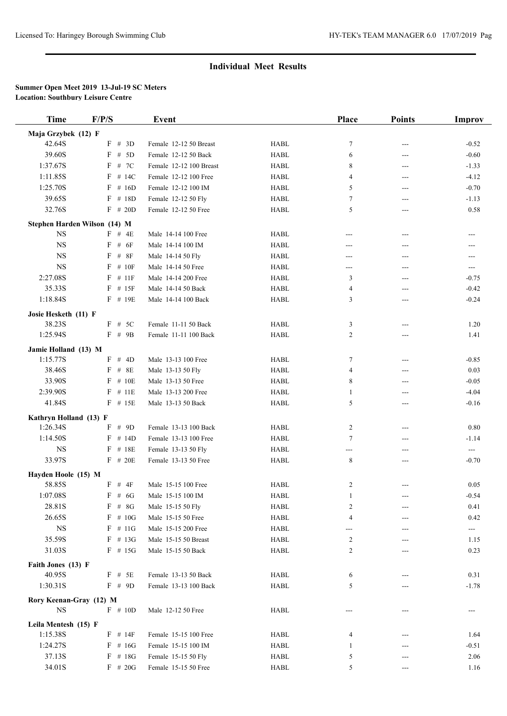| <b>Time</b>                    | F/P/S                        | <b>Event</b>            |             | Place          | <b>Points</b> | <b>Improv</b>     |
|--------------------------------|------------------------------|-------------------------|-------------|----------------|---------------|-------------------|
| Maja Grzybek (12) F            |                              |                         |             |                |               |                   |
| 42.64S                         | F # 3D                       | Female 12-12 50 Breast  | <b>HABL</b> | $\tau$         | ---           | $-0.52$           |
| 39.60S                         | # $5D$<br>F                  | Female 12-12 50 Back    | <b>HABL</b> | 6              | ---           | $-0.60$           |
| 1:37.67S                       | $_{\rm F}$<br># 7C           | Female 12-12 100 Breast | <b>HABL</b> | 8              | ---           | $-1.33$           |
| 1:11.85S                       | F<br># 14C                   | Female 12-12 100 Free   | <b>HABL</b> | 4              | ---           | $-4.12$           |
| 1:25.70S                       | # 16D<br>F                   | Female 12-12 100 IM     | <b>HABL</b> | 5              | ---           | $-0.70$           |
| 39.65S                         | # 18D<br>F                   | Female 12-12 50 Fly     | <b>HABL</b> | 7              | ---           | $-1.13$           |
| 32.76S                         | F<br># 20 $D$                | Female 12-12 50 Free    | <b>HABL</b> | 5              | ---           | 0.58              |
|                                | Stephen Harden Wilson (14) M |                         |             |                |               |                   |
| <b>NS</b>                      | $F$ # 4E                     | Male 14-14 100 Free     | <b>HABL</b> | ---            | ---           | ---               |
| <b>NS</b>                      | # $6F$<br>F                  | Male 14-14 100 IM       | <b>HABL</b> | ---            | ---           | ---               |
| <b>NS</b>                      | $\#$<br>8F<br>F              | Male 14-14 50 Fly       | <b>HABL</b> | ---            | ---           | ---               |
| <b>NS</b>                      | # 10F<br>F                   | Male 14-14 50 Free      | <b>HABL</b> | ---            | ---           | ---               |
| 2:27.08S                       | $F$ # 11F                    | Male 14-14 200 Free     | <b>HABL</b> | 3              | ---           | $-0.75$           |
| 35.33S                         | $F$ # 15F                    | Male 14-14 50 Back      | <b>HABL</b> | 4              | ---           | $-0.42$           |
| 1:18.84S                       | $F$ # 19E                    | Male 14-14 100 Back     | <b>HABL</b> | 3              | ---           | $-0.24$           |
|                                |                              |                         |             |                |               |                   |
| Josie Hesketh (11) F<br>38.23S | F # 5C                       | Female 11-11 50 Back    | <b>HABL</b> | 3              |               |                   |
| 1:25.94S                       | $F$ # 9B                     | Female 11-11 100 Back   | <b>HABL</b> | $\overline{c}$ | ---           | 1.20<br>1.41      |
|                                |                              |                         |             |                | ---           |                   |
| Jamie Holland (13) M           |                              |                         |             |                |               |                   |
| 1:15.77S                       | F # 4D                       | Male 13-13 100 Free     | <b>HABL</b> | $\tau$         | ---           | $-0.85$           |
| 38.46S                         | #8E<br>F                     | Male 13-13 50 Fly       | <b>HABL</b> | 4              | ---           | 0.03              |
| 33.90S                         | # 10E<br>F                   | Male 13-13 50 Free      | <b>HABL</b> | 8              | ---           | $-0.05$           |
| 2:39.90S                       | # 11E<br>F                   | Male 13-13 200 Free     | <b>HABL</b> | 1              | ---           | $-4.04$           |
| 41.84S                         | $F$ # 15E                    | Male 13-13 50 Back      | <b>HABL</b> | 5              | ---           | $-0.16$           |
| Kathryn Holland (13) F         |                              |                         |             |                |               |                   |
| 1:26.34S                       | $F$ # 9D                     | Female 13-13 100 Back   | <b>HABL</b> | $\overline{c}$ | ---           | 0.80              |
| 1:14.50S                       | $F$ # 14D                    | Female 13-13 100 Free   | <b>HABL</b> | $\tau$         | ---           | $-1.14$           |
| <b>NS</b>                      | F<br># 18E                   | Female 13-13 50 Fly     | <b>HABL</b> | ---            | ---           | ---               |
| 33.97S                         | $F$ # 20E                    | Female 13-13 50 Free    | <b>HABL</b> | 8              | ---           | $-0.70$           |
| Hayden Hoole (15) M            |                              |                         |             |                |               |                   |
| 58.85S                         | F # 4F                       | Male 15-15 100 Free     | <b>HABL</b> | 2              |               | 0.05              |
| 1:07.08S                       | $\mathrm{F}$ # 6G            | Male 15-15 100 IM       | <b>HABL</b> |                |               | $-0.54$           |
| 28.81S                         | F<br>#8G                     | Male 15-15 50 Fly       | HABL        | 2              | ---           | 0.41              |
| 26.65S                         | $F$ # 10G                    | Male 15-15 50 Free      | HABL        | $\overline{4}$ | ---           | 0.42              |
| <b>NS</b>                      | $F \# 11G$                   | Male 15-15 200 Free     | HABL        | ---            | ---           | $\qquad \qquad -$ |
| 35.59S                         | $F$ # 13G                    | Male 15-15 50 Breast    | HABL        | 2              |               | 1.15              |
| 31.03S                         | $F$ # 15G                    | Male 15-15 50 Back      | <b>HABL</b> | $\overline{c}$ |               | 0.23              |
| Faith Jones (13) F             |                              |                         |             |                |               |                   |
| 40.95S                         | $F$ # 5E                     | Female 13-13 50 Back    | HABL        | 6              |               | 0.31              |
| 1:30.31S                       | F # 9D                       | Female 13-13 100 Back   | HABL        | 5              |               | $-1.78$           |
|                                |                              |                         |             |                |               |                   |
| Rory Keenan-Gray (12) M        |                              |                         |             |                |               |                   |
| NS                             | $F \# 10D$                   | Male 12-12 50 Free      | HABL        |                |               |                   |
| Leila Mentesh (15) F           |                              |                         |             |                |               |                   |
| 1:15.38S                       | $F$ # 14F                    | Female 15-15 100 Free   | HABL        | 4              |               | 1.64              |
| 1:24.27S                       | $F$ # 16G                    | Female 15-15 100 IM     | <b>HABL</b> | 1              |               | $-0.51$           |
| 37.13S                         | $F$ # 18G                    | Female 15-15 50 Fly     | HABL        | 5              |               | 2.06              |
| 34.01S                         | $F$ # 20G                    | Female 15-15 50 Free    | HABL        | 5              | ---           | 1.16              |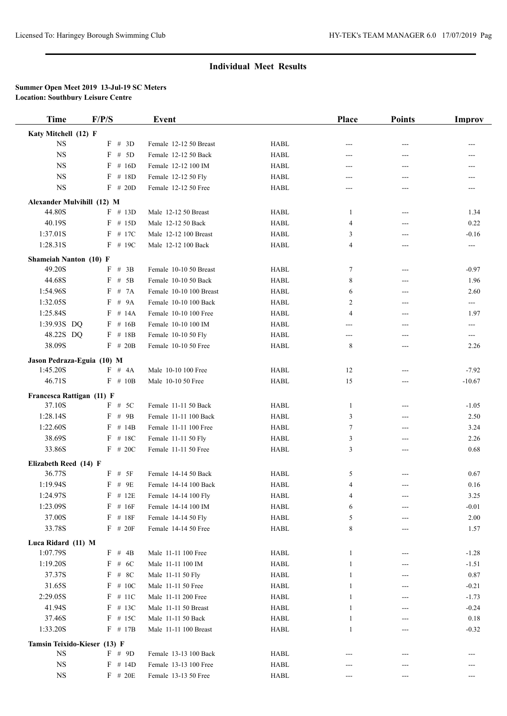| <b>Time</b>                            | F/P/S        | Event                   |             | Place          | <b>Points</b> | Improv   |
|----------------------------------------|--------------|-------------------------|-------------|----------------|---------------|----------|
| Katy Mitchell (12) F                   |              |                         |             |                |               |          |
| <b>NS</b>                              | F # 3D       | Female 12-12 50 Breast  | <b>HABL</b> | $---$          | $---$         | ---      |
| <b>NS</b>                              | $F$ # 5D     | Female 12-12 50 Back    | <b>HABL</b> | ---            | ---           | ---      |
| <b>NS</b>                              | $F$ # 16D    | Female 12-12 100 IM     | <b>HABL</b> | ---            | ---           | ---      |
| <b>NS</b>                              | $F$ # 18D    | Female 12-12 50 Fly     | <b>HABL</b> | ---            | ---           |          |
| <b>NS</b>                              | $F$ # 20D    | Female 12-12 50 Free    | <b>HABL</b> | ---            | ---           | ---      |
| Alexander Mulvihill (12) M             |              |                         |             |                |               |          |
| 44.80S                                 | $F$ # 13D    | Male 12-12 50 Breast    | <b>HABL</b> | 1              | ---           | 1.34     |
| 40.19S                                 | $F$ # 15D    | Male 12-12 50 Back      | <b>HABL</b> | 4              | ---           | 0.22     |
| 1:37.01S                               | $F$ # 17C    | Male 12-12 100 Breast   | <b>HABL</b> | 3              | $---$         | $-0.16$  |
| 1:28.31S                               | $F$ # 19C    | Male 12-12 100 Back     | <b>HABL</b> | 4              | ---           | $---$    |
| <b>Shameiah Nanton (10) F</b>          |              |                         |             |                |               |          |
| 49.20S                                 | $F \# 3B$    | Female 10-10 50 Breast  | <b>HABL</b> | 7              | ---           | $-0.97$  |
| 44.68S                                 | $F$ # 5B     | Female 10-10 50 Back    | <b>HABL</b> | 8              | ---           | 1.96     |
| 1:54.96S                               | $F$ # 7A     | Female 10-10 100 Breast | <b>HABL</b> | 6              | ---           | 2.60     |
| 1:32.05S                               | $F$ # $9A$   | Female 10-10 100 Back   | <b>HABL</b> | 2              | ---           | ---      |
| 1:25.84S                               | $F$ # 14A    | Female 10-10 100 Free   | <b>HABL</b> | $\overline{4}$ | ---           | 1.97     |
| 1:39.93S DQ                            | $F$ # 16B    | Female 10-10 100 IM     | <b>HABL</b> | ---            | ---           | $\cdots$ |
| 48.22S DQ                              | $F$ # 18B    | Female 10-10 50 Fly     | <b>HABL</b> | ---            | ---           | ---      |
| 38.09S                                 | $F$ # 20B    | Female 10-10 50 Free    | <b>HABL</b> | 8              | ---           | 2.26     |
|                                        |              |                         |             |                |               |          |
| Jason Pedraza-Eguia (10) M<br>1:45.20S | F # 4A       | Male 10-10 100 Free     | <b>HABL</b> | 12             | ---           | $-7.92$  |
| 46.71S                                 | $F \# 10B$   | Male 10-10 50 Free      | <b>HABL</b> | 15             |               | $-10.67$ |
|                                        |              |                         |             |                | ---           |          |
| Francesca Rattigan (11) F              |              |                         |             |                |               |          |
| 37.10S                                 | $F$ # 5C     | Female 11-11 50 Back    | <b>HABL</b> | 1              | ---           | $-1.05$  |
| 1:28.14S                               | $F$ # 9B     | Female 11-11 100 Back   | <b>HABL</b> | 3              | ---           | 2.50     |
| 1:22.60S                               | $F$ # 14B    | Female 11-11 100 Free   | <b>HABL</b> | 7              | ---           | 3.24     |
| 38.69S                                 | $F$ # 18C    | Female 11-11 50 Fly     | <b>HABL</b> | 3              | ---           | 2.26     |
| 33.86S                                 | $F$ # 20C    | Female 11-11 50 Free    | <b>HABL</b> | 3              | ---           | 0.68     |
| Elizabeth Reed (14) F                  |              |                         |             |                |               |          |
| 36.77S                                 | $F$ # 5F     | Female 14-14 50 Back    | <b>HABL</b> | 5              | ---           | 0.67     |
| 1:19.94S                               | $F$ # 9E     | Female 14-14 100 Back   | <b>HABL</b> | 4              | ---           | 0.16     |
| 1:24.97S                               | $F$ # 12E    | Female 14-14 100 Fly    | <b>HABL</b> | 4              |               | 3.25     |
| 1:23.09S                               | $F$ # 16F    | Female 14-14 100 IM     | <b>HABL</b> | 6              | ---           | $-0.01$  |
| 37.00S                                 | $F$ # 18 $F$ | Female 14-14 50 Fly     | <b>HABL</b> | 5              |               | 2.00     |
| 33.78S                                 | $F$ # 20 $F$ | Female 14-14 50 Free    | HABL        | 8              | ---           | 1.57     |
| Luca Ridard (11) M                     |              |                         |             |                |               |          |
| 1:07.79S                               | F # 4B       | Male 11-11 100 Free     | HABL        | 1              |               | $-1.28$  |
| 1:19.20S                               | $F$ # 6C     | Male 11-11 100 IM       | HABL        | 1              | ---           | $-1.51$  |
| 37.37S                                 | F # 8C       | Male 11-11 50 Fly       | HABL        | 1              | ---           | 0.87     |
| 31.65S                                 | $F$ # 10C    | Male 11-11 50 Free      | <b>HABL</b> | 1              | ---           | $-0.21$  |
| 2:29.05S                               | $F$ # 11C    | Male 11-11 200 Free     | <b>HABL</b> | 1              | ---           | $-1.73$  |
| 41.94S                                 | $F$ # 13C    | Male 11-11 50 Breast    | <b>HABL</b> | 1              | ---           | $-0.24$  |
| 37.46S                                 | $F$ # 15C    | Male 11-11 50 Back      | <b>HABL</b> | 1              |               | 0.18     |
| 1:33.20S                               | $F$ # 17B    | Male 11-11 100 Breast   | HABL        | 1              | ---           | $-0.32$  |
| Tamsin Teixido-Kieser (13) F           |              |                         |             |                |               |          |
| $_{\rm NS}$                            | $F \# 9D$    | Female 13-13 100 Back   | <b>HABL</b> |                |               |          |
| $_{\rm NS}$                            | $F \# 14D$   | Female 13-13 100 Free   | <b>HABL</b> |                |               |          |
| <b>NS</b>                              | $F$ # 20E    | Female 13-13 50 Free    | HABL        | ---            |               |          |
|                                        |              |                         |             |                |               |          |